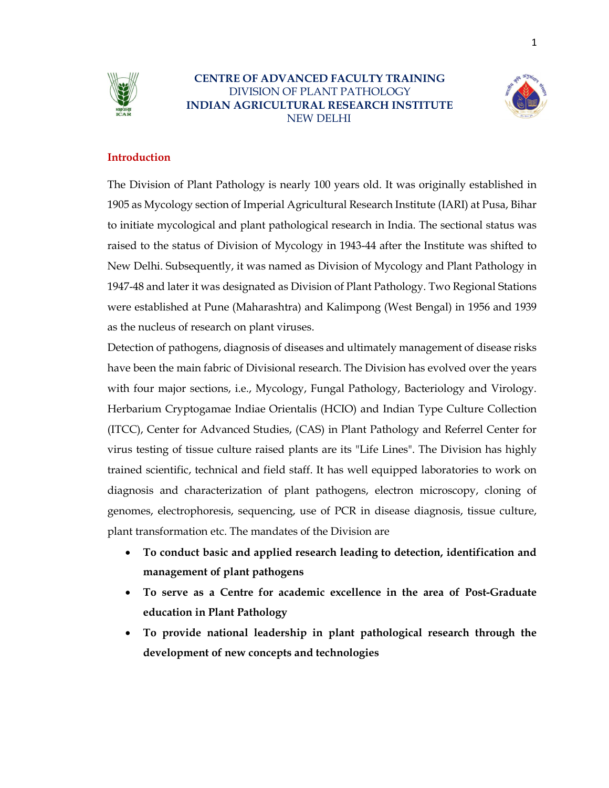

# CENTRE OF ADVANCED FACULTY TRAINING DIVISION OF PLANT PATHOLOGY INDIAN AGRICULTURAL RESEARCH INSTITUTE NEW DELHI



### Introduction

The Division of Plant Pathology is nearly 100 years old. It was originally established in 1905 as Mycology section of Imperial Agricultural Research Institute (IARI) at Pusa, Bihar to initiate mycological and plant pathological research in India. The sectional status was raised to the status of Division of Mycology in 1943-44 after the Institute was shifted to New Delhi. Subsequently, it was named as Division of Mycology and Plant Pathology in 1947-48 and later it was designated as Division of Plant Pathology. Two Regional Stations were established at Pune (Maharashtra) and Kalimpong (West Bengal) in 1956 and 1939 as the nucleus of research on plant viruses.

Detection of pathogens, diagnosis of diseases and ultimately management of disease risks have been the main fabric of Divisional research. The Division has evolved over the years with four major sections, i.e., Mycology, Fungal Pathology, Bacteriology and Virology. Herbarium Cryptogamae Indiae Orientalis (HCIO) and Indian Type Culture Collection (ITCC), Center for Advanced Studies, (CAS) in Plant Pathology and Referrel Center for virus testing of tissue culture raised plants are its "Life Lines". The Division has highly trained scientific, technical and field staff. It has well equipped laboratories to work on diagnosis and characterization of plant pathogens, electron microscopy, cloning of genomes, electrophoresis, sequencing, use of PCR in disease diagnosis, tissue culture, plant transformation etc. The mandates of the Division are

- To conduct basic and applied research leading to detection, identification and management of plant pathogens
- To serve as a Centre for academic excellence in the area of Post-Graduate education in Plant Pathology
- To provide national leadership in plant pathological research through the development of new concepts and technologies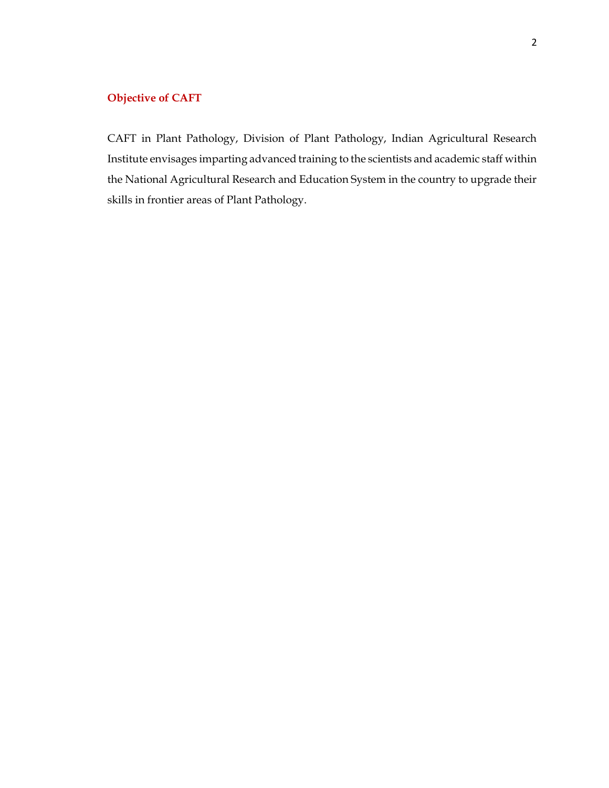# Objective of CAFT

CAFT in Plant Pathology, Division of Plant Pathology, Indian Agricultural Research Institute envisages imparting advanced training to the scientists and academic staff within the National Agricultural Research and Education System in the country to upgrade their skills in frontier areas of Plant Pathology.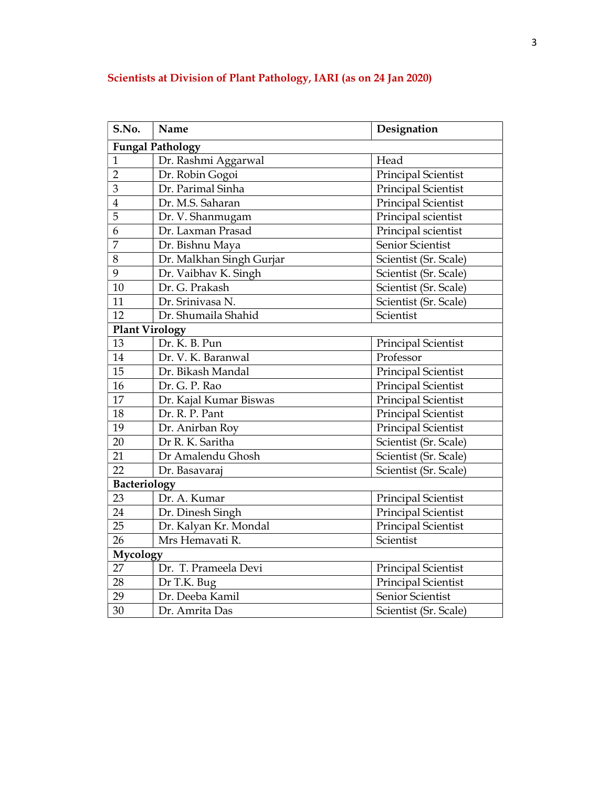| S.No.                   | Name                                    | Designation                |  |  |  |
|-------------------------|-----------------------------------------|----------------------------|--|--|--|
|                         | <b>Fungal Pathology</b>                 |                            |  |  |  |
| $\mathbf{1}$            | Dr. Rashmi Aggarwal<br>Head             |                            |  |  |  |
| $\overline{2}$          | Dr. Robin Gogoi                         | <b>Principal Scientist</b> |  |  |  |
| 3                       | Dr. Parimal Sinha                       | Principal Scientist        |  |  |  |
| $\overline{\mathbf{4}}$ | Dr. M.S. Saharan                        | <b>Principal Scientist</b> |  |  |  |
| 5                       | Dr. V. Shanmugam                        | Principal scientist        |  |  |  |
| 6                       | Dr. Laxman Prasad                       | Principal scientist        |  |  |  |
| 7                       | Dr. Bishnu Maya                         | Senior Scientist           |  |  |  |
| 8                       | Dr. Malkhan Singh Gurjar                | Scientist (Sr. Scale)      |  |  |  |
| 9                       | Dr. Vaibhav K. Singh                    | Scientist (Sr. Scale)      |  |  |  |
| 10                      | Scientist (Sr. Scale)<br>Dr. G. Prakash |                            |  |  |  |
| 11                      | Dr. Srinivasa N.                        | Scientist (Sr. Scale)      |  |  |  |
| 12                      | Scientist<br>Dr. Shumaila Shahid        |                            |  |  |  |
|                         | <b>Plant Virology</b>                   |                            |  |  |  |
| 13                      | Dr. K. B. Pun                           | Principal Scientist        |  |  |  |
| 14                      | Dr. V. K. Baranwal                      | Professor                  |  |  |  |
| 15                      | Dr. Bikash Mandal                       | <b>Principal Scientist</b> |  |  |  |
| 16                      | Dr. G. P. Rao                           | <b>Principal Scientist</b> |  |  |  |
| 17                      | Dr. Kajal Kumar Biswas                  | Principal Scientist        |  |  |  |
| 18                      | Dr. R. P. Pant                          | Principal Scientist        |  |  |  |
| 19                      | Dr. Anirban Roy                         | Principal Scientist        |  |  |  |
| 20                      | Dr R. K. Saritha                        | Scientist (Sr. Scale)      |  |  |  |
| 21                      | Dr Amalendu Ghosh                       | Scientist (Sr. Scale)      |  |  |  |
| 22                      | Dr. Basavaraj                           | Scientist (Sr. Scale)      |  |  |  |
| <b>Bacteriology</b>     |                                         |                            |  |  |  |
| 23                      | Dr. A. Kumar                            | <b>Principal Scientist</b> |  |  |  |
| 24                      | Dr. Dinesh Singh                        | <b>Principal Scientist</b> |  |  |  |
| 25                      | Dr. Kalyan Kr. Mondal                   | <b>Principal Scientist</b> |  |  |  |
| 26                      | Mrs Hemavati R.<br>Scientist            |                            |  |  |  |
| Mycology                |                                         |                            |  |  |  |
| 27                      | Dr. T. Prameela Devi                    | Principal Scientist        |  |  |  |
| 28                      | Dr T.K. Bug                             | Principal Scientist        |  |  |  |
| 29                      | Dr. Deeba Kamil                         | Senior Scientist           |  |  |  |
| 30                      | Dr. Amrita Das                          | Scientist (Sr. Scale)      |  |  |  |

# Scientists at Division of Plant Pathology, IARI (as on 24 Jan 2020)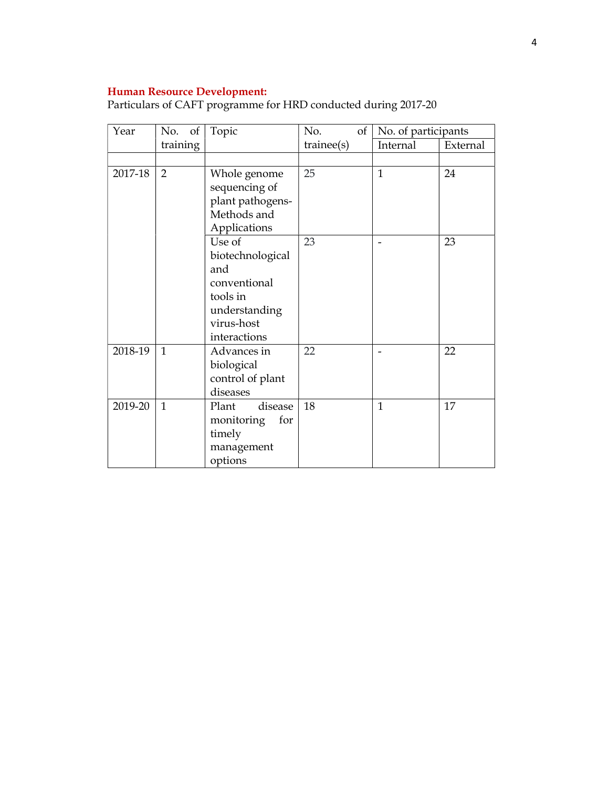#### Human Resource Development:

| Year    | No. of         | Topic                                                                                                        | No.<br>$\vert$ of $\vert$ | No. of participants |          |
|---------|----------------|--------------------------------------------------------------------------------------------------------------|---------------------------|---------------------|----------|
|         | training       |                                                                                                              | triangle(s)               | Internal            | External |
|         |                |                                                                                                              |                           |                     |          |
| 2017-18 | $\overline{2}$ | Whole genome<br>sequencing of<br>plant pathogens-<br>Methods and<br>Applications                             | 25                        | $\mathbf{1}$        | 24       |
|         |                | Use of<br>biotechnological<br>and<br>conventional<br>tools in<br>understanding<br>virus-host<br>interactions | 23                        |                     | 23       |
| 2018-19 | $\mathbf{1}$   | Advances in<br>biological<br>control of plant<br>diseases                                                    | 22                        |                     | 22       |
| 2019-20 | $\mathbf{1}$   | disease<br>Plant<br>for<br>monitoring<br>timely<br>management<br>options                                     | 18                        | $\mathbf{1}$        | 17       |

Particulars of CAFT programme for HRD conducted during 2017-20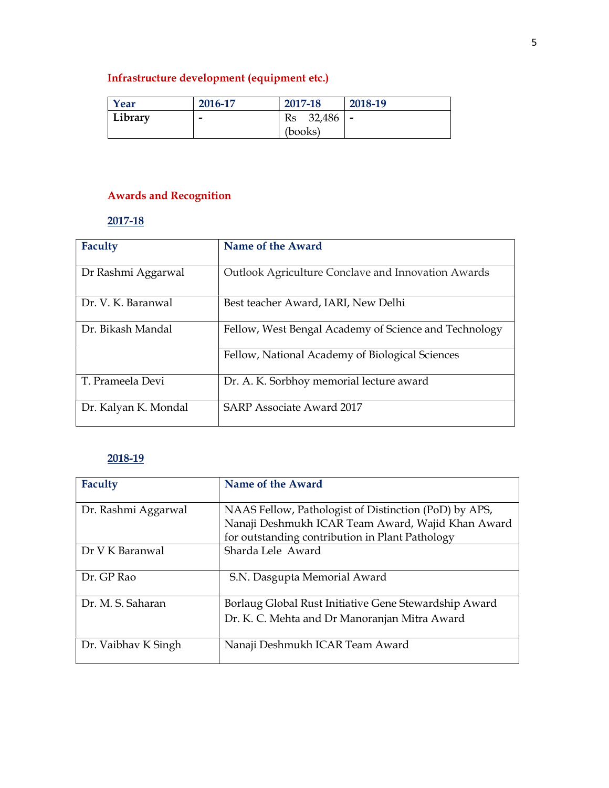# Infrastructure development (equipment etc.)

| Year    | 2016-17 | 2017-18      | 2018-19 |
|---------|---------|--------------|---------|
| Library | -       | Rs<br>32,486 | --      |
|         |         | (books)      |         |

# Awards and Recognition

# 2017-18

| Faculty              | Name of the Award                                     |
|----------------------|-------------------------------------------------------|
| Dr Rashmi Aggarwal   | Outlook Agriculture Conclave and Innovation Awards    |
| Dr. V. K. Baranwal   | Best teacher Award, IARI, New Delhi                   |
| Dr. Bikash Mandal    | Fellow, West Bengal Academy of Science and Technology |
|                      | Fellow, National Academy of Biological Sciences       |
| T. Prameela Devi     | Dr. A. K. Sorbhoy memorial lecture award              |
| Dr. Kalyan K. Mondal | <b>SARP Associate Award 2017</b>                      |

# 2018-19

| <b>Faculty</b>      | Name of the Award                                     |
|---------------------|-------------------------------------------------------|
| Dr. Rashmi Aggarwal | NAAS Fellow, Pathologist of Distinction (PoD) by APS, |
|                     | Nanaji Deshmukh ICAR Team Award, Wajid Khan Award     |
|                     | for outstanding contribution in Plant Pathology       |
| Dr V K Baranwal     | Sharda Lele Award                                     |
| Dr. GP Rao          | S.N. Dasgupta Memorial Award                          |
| Dr. M. S. Saharan   | Borlaug Global Rust Initiative Gene Stewardship Award |
|                     | Dr. K. C. Mehta and Dr Manoranjan Mitra Award         |
| Dr. Vaibhav K Singh | Nanaji Deshmukh ICAR Team Award                       |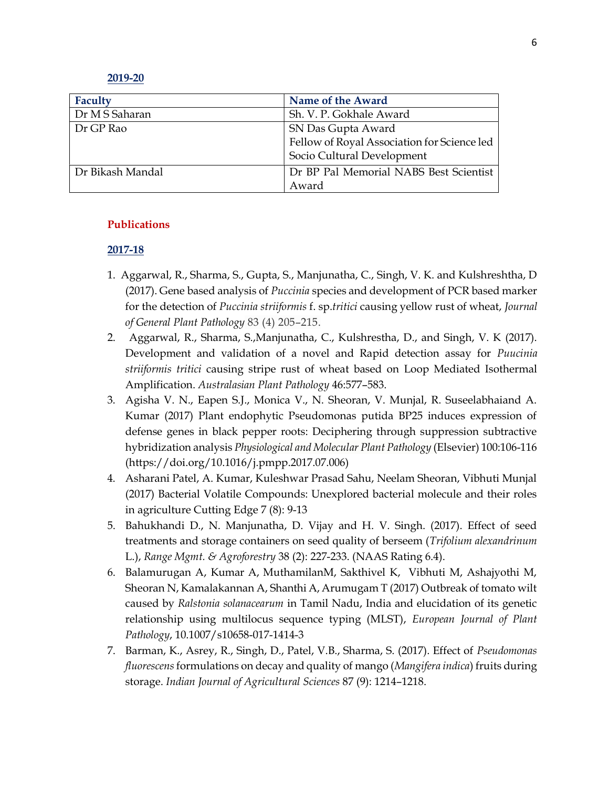#### 2019-20

| Faculty          | Name of the Award                           |  |
|------------------|---------------------------------------------|--|
| Dr M S Saharan   | Sh. V. P. Gokhale Award                     |  |
| Dr GP Rao        | SN Das Gupta Award                          |  |
|                  | Fellow of Royal Association for Science led |  |
|                  | Socio Cultural Development                  |  |
| Dr Bikash Mandal | Dr BP Pal Memorial NABS Best Scientist      |  |
|                  | Award                                       |  |

#### Publications

## 2017-18

- 1. Aggarwal, R., Sharma, S., Gupta, S., Manjunatha, C., Singh, V. K. and Kulshreshtha, D (2017). Gene based analysis of Puccinia species and development of PCR based marker for the detection of Puccinia striiformis f. sp.tritici causing yellow rust of wheat, Journal of General Plant Pathology 83 (4) 205–215.
- 2. Aggarwal, R., Sharma, S.,Manjunatha, C., Kulshrestha, D., and Singh, V. K (2017). Development and validation of a novel and Rapid detection assay for Puucinia striiformis tritici causing stripe rust of wheat based on Loop Mediated Isothermal Amplification. Australasian Plant Pathology 46:577–583.
- 3. Agisha V. N., Eapen S.J., Monica V., N. Sheoran, V. Munjal, R. Suseelabhaiand A. Kumar (2017) Plant endophytic Pseudomonas putida BP25 induces expression of defense genes in black pepper roots: Deciphering through suppression subtractive hybridization analysis Physiological and Molecular Plant Pathology (Elsevier) 100:106-116 (https://doi.org/10.1016/j.pmpp.2017.07.006)
- 4. Asharani Patel, A. Kumar, Kuleshwar Prasad Sahu, Neelam Sheoran, Vibhuti Munjal (2017) Bacterial Volatile Compounds: Unexplored bacterial molecule and their roles in agriculture Cutting Edge 7 (8): 9-13
- 5. Bahukhandi D., N. Manjunatha, D. Vijay and H. V. Singh. (2017). Effect of seed treatments and storage containers on seed quality of berseem (Trifolium alexandrinum L.), Range Mgmt. & Agroforestry 38 (2): 227-233. (NAAS Rating 6.4).
- 6. Balamurugan A, Kumar A, MuthamilanM, Sakthivel K, Vibhuti M, Ashajyothi M, Sheoran N, Kamalakannan A, Shanthi A, Arumugam T (2017) Outbreak of tomato wilt caused by Ralstonia solanacearum in Tamil Nadu, India and elucidation of its genetic relationship using multilocus sequence typing (MLST), European Journal of Plant Pathology, 10.1007/s10658-017-1414-3
- 7. Barman, K., Asrey, R., Singh, D., Patel, V.B., Sharma, S. (2017). Effect of Pseudomonas fluorescens formulations on decay and quality of mango (Mangifera indica) fruits during storage. Indian Journal of Agricultural Sciences 87 (9): 1214–1218.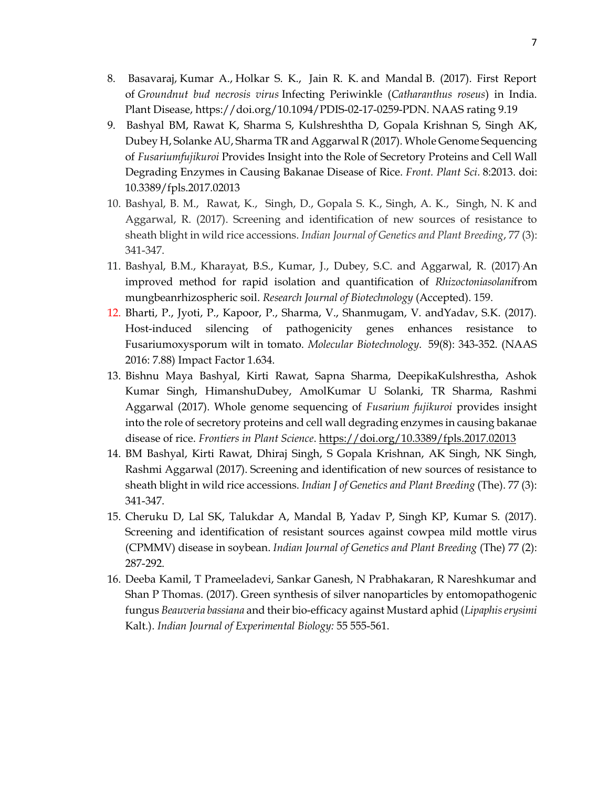- 8. Basavaraj, Kumar A., Holkar S. K., Jain R. K. and Mandal B. (2017). First Report of Groundnut bud necrosis virus Infecting Periwinkle (Catharanthus roseus) in India. Plant Disease, https://doi.org/10.1094/PDIS-02-17-0259-PDN. NAAS rating 9.19
- 9. Bashyal BM, Rawat K, Sharma S, Kulshreshtha D, Gopala Krishnan S, Singh AK, Dubey H, Solanke AU, Sharma TR and Aggarwal R (2017). Whole Genome Sequencing of Fusariumfujikuroi Provides Insight into the Role of Secretory Proteins and Cell Wall Degrading Enzymes in Causing Bakanae Disease of Rice. Front. Plant Sci. 8:2013. doi: 10.3389/fpls.2017.02013
- 10. Bashyal, B. M., Rawat, K., Singh, D., Gopala S. K., Singh, A. K., Singh, N. K and Aggarwal, R. (2017). Screening and identification of new sources of resistance to sheath blight in wild rice accessions. Indian Journal of Genetics and Plant Breeding, 77 (3): 341-347.
- 11. Bashyal, B.M., Kharayat, B.S., Kumar, J., Dubey, S.C. and Aggarwal, R. (2017).An improved method for rapid isolation and quantification of Rhizoctoniasolanifrom mungbeanrhizospheric soil. Research Journal of Biotechnology (Accepted). 159.
- 12. Bharti, P., Jyoti, P., Kapoor, P., Sharma, V., Shanmugam, V. andYadav, S.K. (2017). Host-induced silencing of pathogenicity genes enhances resistance to Fusariumoxysporum wilt in tomato. Molecular Biotechnology. 59(8): 343-352. (NAAS 2016: 7.88) Impact Factor 1.634.
- 13. Bishnu Maya Bashyal, Kirti Rawat, Sapna Sharma, DeepikaKulshrestha, Ashok Kumar Singh, HimanshuDubey, AmolKumar U Solanki, TR Sharma, Rashmi Aggarwal (2017). Whole genome sequencing of Fusarium fujikuroi provides insight into the role of secretory proteins and cell wall degrading enzymes in causing bakanae disease of rice. Frontiers in Plant Science. https://doi.org/10.3389/fpls.2017.02013
- 14. BM Bashyal, Kirti Rawat, Dhiraj Singh, S Gopala Krishnan, AK Singh, NK Singh, Rashmi Aggarwal (2017). Screening and identification of new sources of resistance to sheath blight in wild rice accessions. Indian J of Genetics and Plant Breeding (The). 77 (3): 341-347.
- 15. Cheruku D, Lal SK, Talukdar A, Mandal B, Yadav P, Singh KP, Kumar S. (2017). Screening and identification of resistant sources against cowpea mild mottle virus (CPMMV) disease in soybean. Indian Journal of Genetics and Plant Breeding (The) 77 (2): 287-292.
- 16. Deeba Kamil, T Prameeladevi, Sankar Ganesh, N Prabhakaran, R Nareshkumar and Shan P Thomas. (2017). Green synthesis of silver nanoparticles by entomopathogenic fungus Beauveria bassiana and their bio-efficacy against Mustard aphid (Lipaphis erysimi Kalt.). Indian Journal of Experimental Biology: 55 555-561.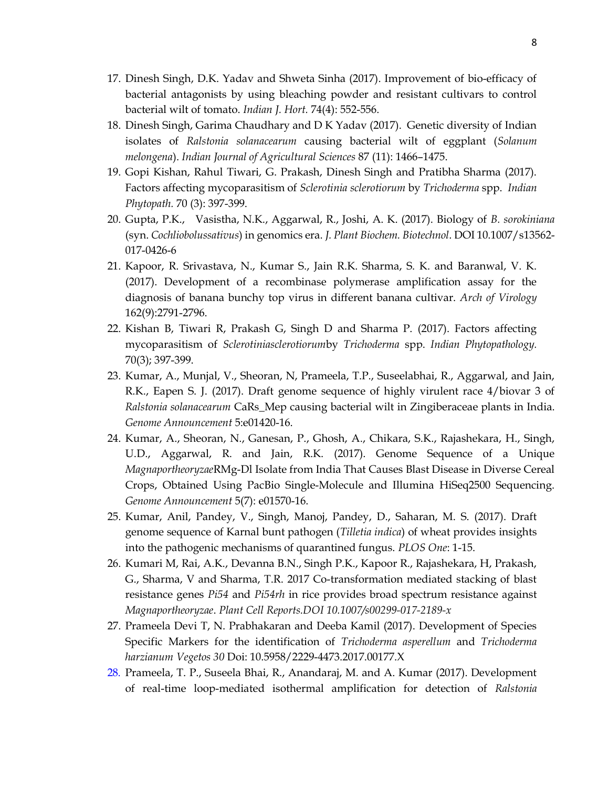- 17. Dinesh Singh, D.K. Yadav and Shweta Sinha (2017). Improvement of bio-efficacy of bacterial antagonists by using bleaching powder and resistant cultivars to control bacterial wilt of tomato. Indian J. Hort. 74(4): 552-556.
- 18. Dinesh Singh, Garima Chaudhary and D K Yadav (2017). Genetic diversity of Indian isolates of Ralstonia solanacearum causing bacterial wilt of eggplant (Solanum melongena). Indian Journal of Agricultural Sciences 87 (11): 1466–1475.
- 19. Gopi Kishan, Rahul Tiwari, G. Prakash, Dinesh Singh and Pratibha Sharma (2017). Factors affecting mycoparasitism of Sclerotinia sclerotiorum by Trichoderma spp. Indian Phytopath. 70 (3): 397-399.
- 20. Gupta, P.K., Vasistha, N.K., Aggarwal, R., Joshi, A. K. (2017). Biology of B. sorokiniana (syn. Cochliobolussativus) in genomics era. J. Plant Biochem. Biotechnol. DOI 10.1007/s13562- 017-0426-6
- 21. Kapoor, R. Srivastava, N., Kumar S., Jain R.K. Sharma, S. K. and Baranwal, V. K. (2017). Development of a recombinase polymerase amplification assay for the diagnosis of banana bunchy top virus in different banana cultivar. Arch of Virology 162(9):2791-2796.
- 22. Kishan B, Tiwari R, Prakash G, Singh D and Sharma P. (2017). Factors affecting mycoparasitism of Sclerotiniasclerotiorumby Trichoderma spp. Indian Phytopathology. 70(3); 397-399.
- 23. Kumar, A., Munjal, V., Sheoran, N, Prameela, T.P., Suseelabhai, R., Aggarwal, and Jain, R.K., Eapen S. J. (2017). Draft genome sequence of highly virulent race 4/biovar 3 of Ralstonia solanacearum CaRs\_Mep causing bacterial wilt in Zingiberaceae plants in India. Genome Announcement 5:e01420-16.
- 24. Kumar, A., Sheoran, N., Ganesan, P., Ghosh, A., Chikara, S.K., Rajashekara, H., Singh, U.D., Aggarwal, R. and Jain, R.K. (2017). Genome Sequence of a Unique MagnaportheoryzaeRMg-Dl Isolate from India That Causes Blast Disease in Diverse Cereal Crops, Obtained Using PacBio Single-Molecule and Illumina HiSeq2500 Sequencing. Genome Announcement 5(7): e01570-16.
- 25. Kumar, Anil, Pandey, V., Singh, Manoj, Pandey, D., Saharan, M. S. (2017). Draft genome sequence of Karnal bunt pathogen (Tilletia indica) of wheat provides insights into the pathogenic mechanisms of quarantined fungus. PLOS One: 1-15.
- 26. Kumari M, Rai, A.K., Devanna B.N., Singh P.K., Kapoor R., Rajashekara, H, Prakash, G., Sharma, V and Sharma, T.R. 2017 Co-transformation mediated stacking of blast resistance genes Pi54 and Pi54rh in rice provides broad spectrum resistance against Magnaportheoryzae. Plant Cell Reports.DOI 10.1007/s00299-017-2189-x
- 27. Prameela Devi T, N. Prabhakaran and Deeba Kamil (2017). Development of Species Specific Markers for the identification of Trichoderma asperellum and Trichoderma harzianum Vegetos 30 Doi: 10.5958/2229-4473.2017.00177.X
- 28. Prameela, T. P., Suseela Bhai, R., Anandaraj, M. and A. Kumar (2017). Development of real-time loop-mediated isothermal amplification for detection of Ralstonia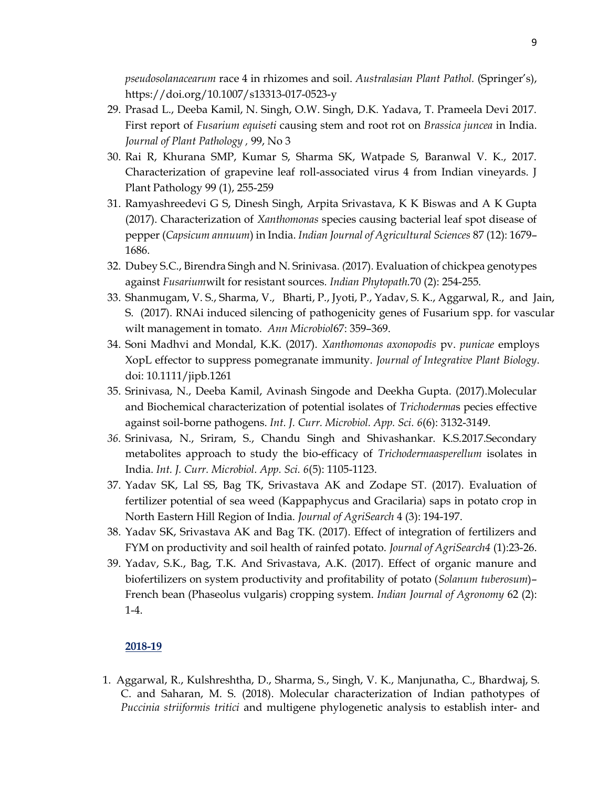pseudosolanacearum race 4 in rhizomes and soil. Australasian Plant Pathol. (Springer's), https://doi.org/10.1007/s13313-017-0523-y

- 29. Prasad L., Deeba Kamil, N. Singh, O.W. Singh, D.K. Yadava, T. Prameela Devi 2017. First report of Fusarium equiseti causing stem and root rot on Brassica juncea in India. Journal of Plant Pathology , 99, No 3
- 30. Rai R, Khurana SMP, Kumar S, Sharma SK, Watpade S, Baranwal V. K., 2017. Characterization of grapevine leaf roll-associated virus 4 from Indian vineyards. J Plant Pathology 99 (1), 255-259
- 31. Ramyashreedevi G S, Dinesh Singh, Arpita Srivastava, K K Biswas and A K Gupta (2017). Characterization of Xanthomonas species causing bacterial leaf spot disease of pepper (Capsicum annuum) in India. Indian Journal of Agricultural Sciences 87 (12): 1679– 1686.
- 32. Dubey S.C., Birendra Singh and N. Srinivasa. (2017). Evaluation of chickpea genotypes against Fusariumwilt for resistant sources. Indian Phytopath.70 (2): 254-255.
- 33. Shanmugam, V. S., Sharma, V., Bharti, P., Jyoti, P., Yadav, S. K., Aggarwal, R., and Jain, S. (2017). RNAi induced silencing of pathogenicity genes of Fusarium spp. for vascular wilt management in tomato. Ann Microbiol67: 359–369.
- 34. Soni Madhvi and Mondal, K.K. (2017). Xanthomonas axonopodis pv. punicae employs XopL effector to suppress pomegranate immunity. Journal of Integrative Plant Biology. doi: 10.1111/jipb.1261
- 35. Srinivasa, N., Deeba Kamil, Avinash Singode and Deekha Gupta. (2017).Molecular and Biochemical characterization of potential isolates of Trichodermas pecies effective against soil-borne pathogens. Int. J. Curr. Microbiol. App. Sci. 6(6): 3132-3149.
- 36. Srinivasa, N., Sriram, S., Chandu Singh and Shivashankar. K.S.2017.Secondary metabolites approach to study the bio-efficacy of *Trichodermaasperellum* isolates in India. Int. J. Curr. Microbiol. App. Sci. 6(5): 1105-1123.
- 37. Yadav SK, Lal SS, Bag TK, Srivastava AK and Zodape ST. (2017). Evaluation of fertilizer potential of sea weed (Kappaphycus and Gracilaria) saps in potato crop in North Eastern Hill Region of India. Journal of AgriSearch 4 (3): 194-197.
- 38. Yadav SK, Srivastava AK and Bag TK. (2017). Effect of integration of fertilizers and FYM on productivity and soil health of rainfed potato. Journal of AgriSearch4 (1):23-26.
- 39. Yadav, S.K., Bag, T.K. And Srivastava, A.K. (2017). Effect of organic manure and biofertilizers on system productivity and profitability of potato (Solanum tuberosum)– French bean (Phaseolus vulgaris) cropping system. *Indian Journal of Agronomy* 62 (2): 1-4.

## 2018-19

1. Aggarwal, R., Kulshreshtha, D., Sharma, S., Singh, V. K., Manjunatha, C., Bhardwaj, S. C. and Saharan, M. S. (2018). Molecular characterization of Indian pathotypes of Puccinia striiformis tritici and multigene phylogenetic analysis to establish inter- and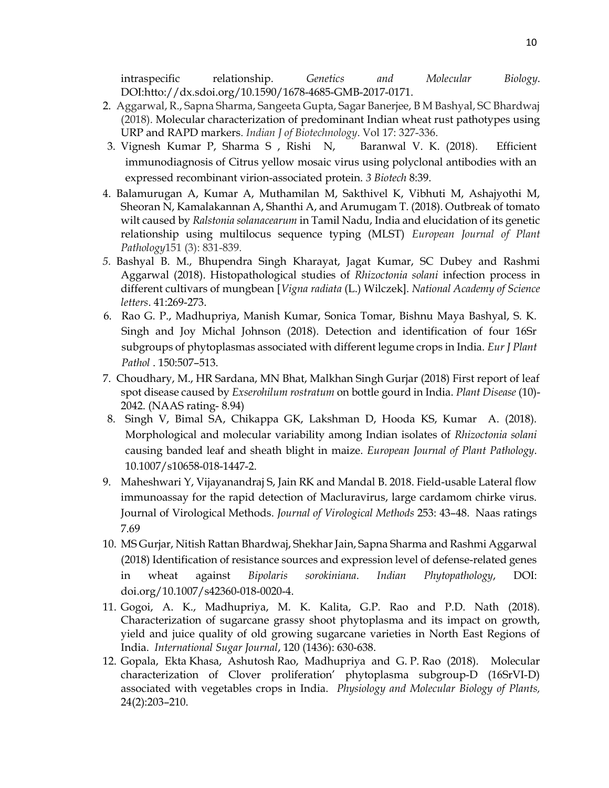intraspecific relationship. Genetics and Molecular Biology. DOI:htto://dx.sdoi.org/10.1590/1678-4685-GMB-2017-0171.

- 2. Aggarwal, R., Sapna Sharma, Sangeeta Gupta, Sagar Banerjee, B M Bashyal, SC Bhardwaj (2018). Molecular characterization of predominant Indian wheat rust pathotypes using URP and RAPD markers. Indian J of Biotechnology. Vol 17: 327-336.
- 3. Vignesh Kumar P, Sharma S , Rishi N, Baranwal V. K. (2018). Efficient immunodiagnosis of Citrus yellow mosaic virus using polyclonal antibodies with an expressed recombinant virion-associated protein. 3 Biotech 8:39.
- 4. Balamurugan A, Kumar A, Muthamilan M, Sakthivel K, Vibhuti M, Ashajyothi M, Sheoran N, Kamalakannan A, Shanthi A, and Arumugam T. (2018). Outbreak of tomato wilt caused by Ralstonia solanacearum in Tamil Nadu, India and elucidation of its genetic relationship using multilocus sequence typing (MLST) European Journal of Plant Pathology151 (3): 831-839.
- 5. Bashyal B. M., Bhupendra Singh Kharayat, Jagat Kumar, SC Dubey and Rashmi Aggarwal (2018). Histopathological studies of Rhizoctonia solani infection process in different cultivars of mungbean [*Vigna radiata* (L.) Wilczek]. National Academy of Science letters. 41:269-273.
- 6. Rao G. P., Madhupriya, Manish Kumar, Sonica Tomar, Bishnu Maya Bashyal, S. K. Singh and Joy Michal Johnson (2018). Detection and identification of four 16Sr subgroups of phytoplasmas associated with different legume crops in India. Eur J Plant Pathol . 150:507–513.
- 7. Choudhary, M., HR Sardana, MN Bhat, Malkhan Singh Gurjar (2018) First report of leaf spot disease caused by *Exserohilum rostratum* on bottle gourd in India. *Plant Disease* (10)-2042. (NAAS rating- 8.94)
- 8. Singh V, Bimal SA, Chikappa GK, Lakshman D, Hooda KS, Kumar A. (2018). Morphological and molecular variability among Indian isolates of Rhizoctonia solani causing banded leaf and sheath blight in maize. European Journal of Plant Pathology. 10.1007/s10658-018-1447-2.
- 9. Maheshwari Y, Vijayanandraj S, Jain RK and Mandal B. 2018. Field-usable Lateral flow immunoassay for the rapid detection of Macluravirus, large cardamom chirke virus. Journal of Virological Methods. Journal of Virological Methods 253: 43–48. Naas ratings 7.69
- 10. MS Gurjar, Nitish Rattan Bhardwaj, Shekhar Jain, Sapna Sharma and Rashmi Aggarwal (2018) Identification of resistance sources and expression level of defense-related genes in wheat against Bipolaris sorokiniana. Indian Phytopathology, DOI: doi.org/10.1007/s42360-018-0020-4.
- 11. Gogoi, A. K., Madhupriya, M. K. Kalita, G.P. Rao and P.D. Nath (2018). Characterization of sugarcane grassy shoot phytoplasma and its impact on growth, yield and juice quality of old growing sugarcane varieties in North East Regions of India. International Sugar Journal, 120 (1436): 630-638.
- 12. Gopala, Ekta Khasa, Ashutosh Rao, Madhupriya and G. P. Rao (2018). Molecular characterization of Clover proliferation' phytoplasma subgroup-D (16SrVI-D) associated with vegetables crops in India. Physiology and Molecular Biology of Plants, 24(2):203–210.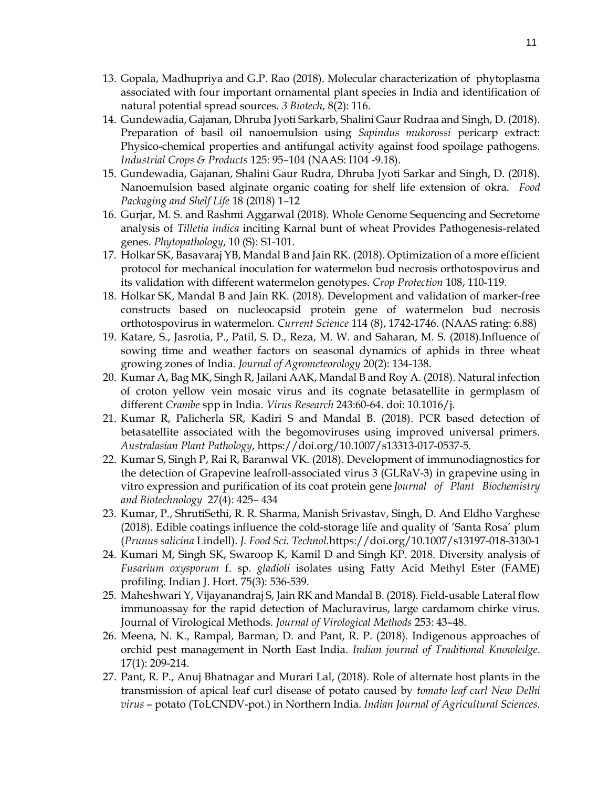- 13. Gopala, Madhupriya and G.P. Rao (2018). Molecular characterization of phytoplasma associated with four important ornamental plant species in India and identification of natural potential spread sources. 3 Biotech, 8(2): 116.
- 14. Gundewadia, Gajanan, Dhruba Jyoti Sarkarb, Shalini Gaur Rudraa and Singh, D. (2018). Preparation of basil oil nanoemulsion using Sapindus mukorossi pericarp extract: Physico-chemical properties and antifungal activity against food spoilage pathogens. Industrial Crops & Products 125: 95–104 (NAAS: I104 -9.18).
- 15. Gundewadia, Gajanan, Shalini Gaur Rudra, Dhruba Jyoti Sarkar and Singh, D. (2018). Nanoemulsion based alginate organic coating for shelf life extension of okra. Food Packaging and Shelf Life 18 (2018) 1–12
- 16. Gurjar, M. S. and Rashmi Aggarwal (2018). Whole Genome Sequencing and Secretome analysis of Tilletia indica inciting Karnal bunt of wheat Provides Pathogenesis-related genes. Phytopathology, 10 (S): S1-101.
- 17. Holkar SK, Basavaraj YB, Mandal B and Jain RK. (2018). Optimization of a more efficient protocol for mechanical inoculation for watermelon bud necrosis orthotospovirus and its validation with different watermelon genotypes. Crop Protection 108, 110-119.
- 18. Holkar SK, Mandal B and Jain RK. (2018). Development and validation of marker-free constructs based on nucleocapsid protein gene of watermelon bud necrosis orthotospovirus in watermelon. Current Science 114 (8), 1742-1746. (NAAS rating: 6.88)
- 19. Katare, S., Jasrotia, P., Patil, S. D., Reza, M. W. and Saharan, M. S. (2018).Influence of sowing time and weather factors on seasonal dynamics of aphids in three wheat growing zones of India. Journal of Agrometeorology 20(2): 134-138.
- 20. Kumar A, Bag MK, Singh R, Jailani AAK, Mandal B and Roy A. (2018). Natural infection of croton yellow vein mosaic virus and its cognate betasatellite in germplasm of different Crambe spp in India. Virus Research 243:60-64. doi: 10.1016/j.
- 21. Kumar R, Palicherla SR, Kadiri S and Mandal B. (2018). PCR based detection of betasatellite associated with the begomoviruses using improved universal primers. Australasian Plant Pathology, https://doi.org/10.1007/s13313-017-0537-5.
- 22. Kumar S, Singh P, Rai R, Baranwal VK. (2018). Development of immunodiagnostics for the detection of Grapevine leafroll-associated virus 3 (GLRaV-3) in grapevine using in vitro expression and purification of its coat protein gene Journal of Plant Biochemistry and Biotechnology 27(4): 425– 434
- 23. Kumar, P., ShrutiSethi, R. R. Sharma, Manish Srivastav, Singh, D. And Eldho Varghese (2018). Edible coatings influence the cold-storage life and quality of 'Santa Rosa' plum (Prunus salicina Lindell). J. Food Sci. Technol.https://doi.org/10.1007/s13197-018-3130-1
- 24. Kumari M, Singh SK, Swaroop K, Kamil D and Singh KP. 2018. Diversity analysis of Fusarium oxysporum f. sp. gladioli isolates using Fatty Acid Methyl Ester (FAME) profiling. Indian J. Hort. 75(3): 536-539.
- 25. Maheshwari Y, Vijayanandraj S, Jain RK and Mandal B. (2018). Field-usable Lateral flow immunoassay for the rapid detection of Macluravirus, large cardamom chirke virus. Journal of Virological Methods. Journal of Virological Methods 253: 43–48.
- 26. Meena, N. K., Rampal, Barman, D. and Pant, R. P. (2018). Indigenous approaches of orchid pest management in North East India. Indian journal of Traditional Knowledge. 17(1): 209-214.
- 27. Pant, R. P., Anuj Bhatnagar and Murari Lal, (2018). Role of alternate host plants in the transmission of apical leaf curl disease of potato caused by tomato leaf curl New Delhi virus – potato (ToLCNDV-pot.) in Northern India. Indian Journal of Agricultural Sciences.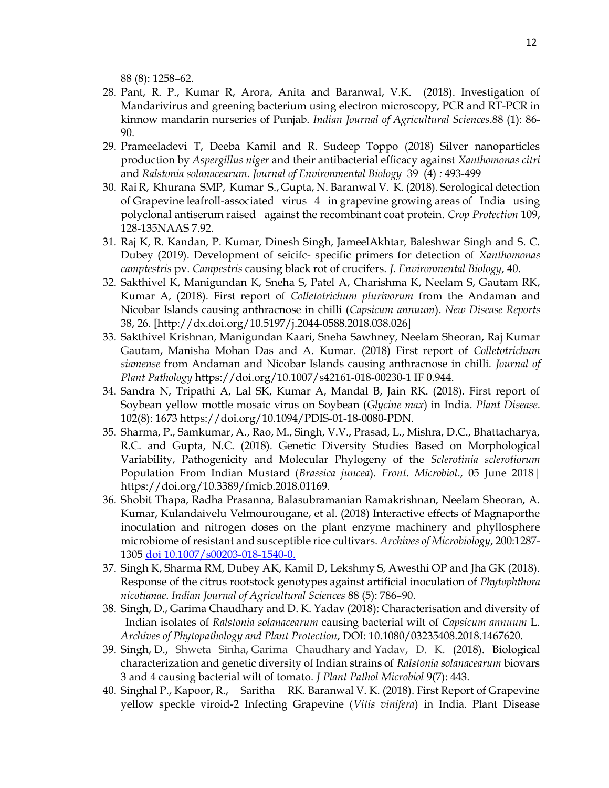88 (8): 1258–62.

- 28. Pant, R. P., Kumar R, Arora, Anita and Baranwal, V.K. (2018). Investigation of Mandarivirus and greening bacterium using electron microscopy, PCR and RT-PCR in kinnow mandarin nurseries of Punjab. Indian Journal of Agricultural Sciences.88 (1): 86- 90.
- 29. Prameeladevi T, Deeba Kamil and R. Sudeep Toppo (2018) Silver nanoparticles production by Aspergillus niger and their antibacterial efficacy against Xanthomonas citri and Ralstonia solanacearum. Journal of Environmental Biology 39 (4) : 493-499
- 30. Rai R, Khurana SMP, Kumar S., Gupta, N. Baranwal V. K. (2018). Serological detection of Grapevine leafroll-associated virus 4 in grapevine growing areas of India using polyclonal antiserum raised against the recombinant coat protein. Crop Protection 109, 128-135NAAS 7.92.
- 31. Raj K, R. Kandan, P. Kumar, Dinesh Singh, JameelAkhtar, Baleshwar Singh and S. C. Dubey (2019). Development of seicifc- specific primers for detection of Xanthomonas camptestris pv. Campestris causing black rot of crucifers. J. Environmental Biology, 40.
- 32. Sakthivel K, Manigundan K, Sneha S, Patel A, Charishma K, Neelam S, Gautam RK, Kumar A, (2018). First report of Colletotrichum plurivorum from the Andaman and Nicobar Islands causing anthracnose in chilli (Capsicum annuum). New Disease Reports 38, 26. [http://dx.doi.org/10.5197/j.2044-0588.2018.038.026]
- 33. Sakthivel Krishnan, Manigundan Kaari, Sneha Sawhney, Neelam Sheoran, Raj Kumar Gautam, Manisha Mohan Das and A. Kumar. (2018) First report of Colletotrichum siamense from Andaman and Nicobar Islands causing anthracnose in chilli. Journal of Plant Pathology https://doi.org/10.1007/s42161-018-00230-1 IF 0.944.
- 34. Sandra N, Tripathi A, Lal SK, Kumar A, Mandal B, Jain RK. (2018). First report of Soybean yellow mottle mosaic virus on Soybean (Glycine max) in India. Plant Disease. 102(8): 1673 https://doi.org/10.1094/PDIS-01-18-0080-PDN.
- 35. Sharma, P., Samkumar, A., Rao, M., Singh, V.V., Prasad, L., Mishra, D.C., Bhattacharya, R.C. and Gupta, N.C. (2018). Genetic Diversity Studies Based on Morphological Variability, Pathogenicity and Molecular Phylogeny of the Sclerotinia sclerotiorum Population From Indian Mustard (Brassica juncea). Front. Microbiol., 05 June 2018| https://doi.org/10.3389/fmicb.2018.01169.
- 36. Shobit Thapa, Radha Prasanna, Balasubramanian Ramakrishnan, Neelam Sheoran, A. Kumar, Kulandaivelu Velmourougane, et al. (2018) Interactive effects of Magnaporthe inoculation and nitrogen doses on the plant enzyme machinery and phyllosphere microbiome of resistant and susceptible rice cultivars. Archives of Microbiology, 200:1287- 1305 doi 10.1007/s00203-018-1540-0.
- 37. Singh K, Sharma RM, Dubey AK, Kamil D, Lekshmy S, Awesthi OP and Jha GK (2018). Response of the citrus rootstock genotypes against artificial inoculation of Phytophthora nicotianae. Indian Journal of Agricultural Sciences 88 (5): 786–90.
- 38. Singh, D., Garima Chaudhary and D. K. Yadav (2018): Characterisation and diversity of Indian isolates of Ralstonia solanacearum causing bacterial wilt of Capsicum annuum L. Archives of Phytopathology and Plant Protection, DOI: 10.1080/03235408.2018.1467620.
- 39. Singh, D., Shweta Sinha, Garima Chaudhary and Yadav, D. K. (2018). Biological characterization and genetic diversity of Indian strains of Ralstonia solanacearum biovars 3 and 4 causing bacterial wilt of tomato. J Plant Pathol Microbiol 9(7): 443.
- 40. Singhal P., Kapoor, R., Saritha RK. Baranwal V. K. (2018). First Report of Grapevine yellow speckle viroid-2 Infecting Grapevine (Vitis vinifera) in India. Plant Disease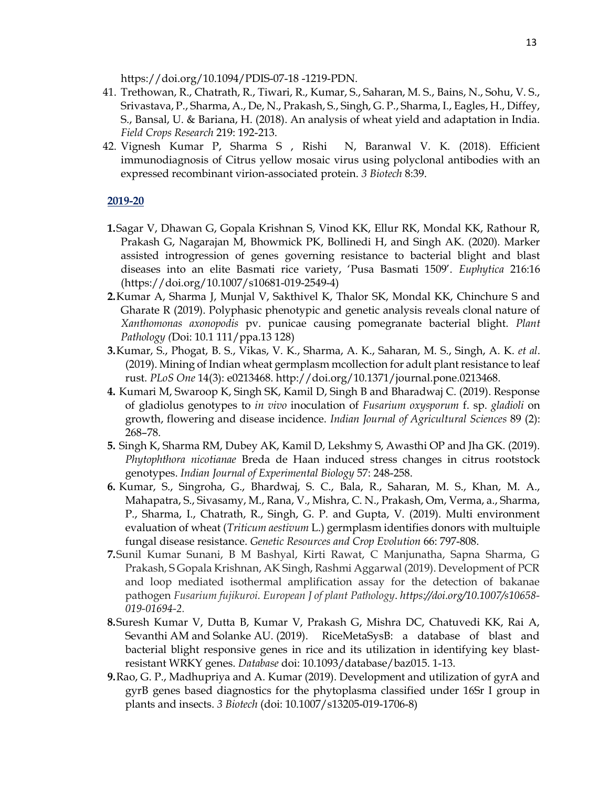https://doi.org/10.1094/PDIS-07-18 -1219-PDN.

- 41. Trethowan, R., Chatrath, R., Tiwari, R., Kumar, S., Saharan, M. S., Bains, N., Sohu, V. S., Srivastava, P., Sharma, A., De, N., Prakash, S., Singh, G. P., Sharma, I., Eagles, H., Diffey, S., Bansal, U. & Bariana, H. (2018). An analysis of wheat yield and adaptation in India. Field Crops Research 219: 192-213.
- 42. Vignesh Kumar P, Sharma S , Rishi N, Baranwal V. K. (2018). Efficient immunodiagnosis of Citrus yellow mosaic virus using polyclonal antibodies with an expressed recombinant virion-associated protein. 3 Biotech 8:39.

#### 2019-20

- 1.Sagar V, Dhawan G, Gopala Krishnan S, Vinod KK, Ellur RK, Mondal KK, Rathour R, Prakash G, Nagarajan M, Bhowmick PK, Bollinedi H, and Singh AK. (2020). Marker assisted introgression of genes governing resistance to bacterial blight and blast diseases into an elite Basmati rice variety, 'Pusa Basmati 1509'. Euphytica 216:16 (https://doi.org/10.1007/s10681-019-2549-4)
- 2.Kumar A, Sharma J, Munjal V, Sakthivel K, Thalor SK, Mondal KK, Chinchure S and Gharate R (2019). Polyphasic phenotypic and genetic analysis reveals clonal nature of Xanthomonas axonopodis pv. punicae causing pomegranate bacterial blight. Plant Pathology (Doi: 10.1 111/ppa.13 128)
- 3.Kumar, S., Phogat, B. S., Vikas, V. K., Sharma, A. K., Saharan, M. S., Singh, A. K. et al. (2019). Mining of Indian wheat germplasm mcollection for adult plant resistance to leaf rust. PLoS One 14(3): e0213468. http://doi.org/10.1371/journal.pone.0213468.
- 4. Kumari M, Swaroop K, Singh SK, Kamil D, Singh B and Bharadwaj C. (2019). Response of gladiolus genotypes to in vivo inoculation of Fusarium oxysporum f. sp. gladioli on growth, flowering and disease incidence. Indian Journal of Agricultural Sciences 89 (2): 268–78.
- 5. Singh K, Sharma RM, Dubey AK, Kamil D, Lekshmy S, Awasthi OP and Jha GK. (2019). Phytophthora nicotianae Breda de Haan induced stress changes in citrus rootstock genotypes. Indian Journal of Experimental Biology 57: 248-258.
- 6. Kumar, S., Singroha, G., Bhardwaj, S. C., Bala, R., Saharan, M. S., Khan, M. A., Mahapatra, S., Sivasamy, M., Rana, V., Mishra, C. N., Prakash, Om, Verma, a., Sharma, P., Sharma, I., Chatrath, R., Singh, G. P. and Gupta, V. (2019). Multi environment evaluation of wheat *(Triticum aestivum L.)* germplasm identifies donors with multuiple fungal disease resistance. Genetic Resources and Crop Evolution 66: 797-808.
- 7.Sunil Kumar Sunani, B M Bashyal, Kirti Rawat, C Manjunatha, Sapna Sharma, G Prakash, S Gopala Krishnan, AK Singh, Rashmi Aggarwal (2019). Development of PCR and loop mediated isothermal amplification assay for the detection of bakanae pathogen Fusarium fujikuroi. European J of plant Pathology. https://doi.org/10.1007/s10658- 019-01694-2.
- 8.Suresh Kumar V, Dutta B, Kumar V, Prakash G, Mishra DC, Chatuvedi KK, Rai A, Sevanthi AM and Solanke AU. (2019). RiceMetaSysB: a database of blast and bacterial blight responsive genes in rice and its utilization in identifying key blastresistant WRKY genes. Database doi: 10.1093/database/baz015. 1-13.
- 9.Rao, G. P., Madhupriya and A. Kumar (2019). Development and utilization of gyrA and gyrB genes based diagnostics for the phytoplasma classified under 16Sr I group in plants and insects. 3 Biotech (doi: 10.1007/s13205-019-1706-8)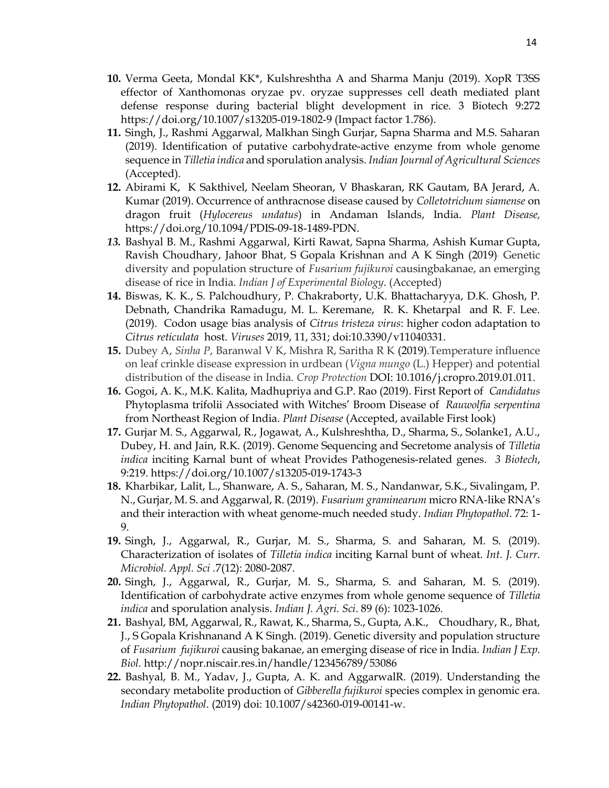- 10. Verma Geeta, Mondal KK\*, Kulshreshtha A and Sharma Manju (2019). XopR T3SS effector of Xanthomonas oryzae pv. oryzae suppresses cell death mediated plant defense response during bacterial blight development in rice. 3 Biotech 9:272 https://doi.org/10.1007/s13205-019-1802-9 (Impact factor 1.786).
- 11. Singh, J., Rashmi Aggarwal, Malkhan Singh Gurjar, Sapna Sharma and M.S. Saharan (2019). Identification of putative carbohydrate-active enzyme from whole genome sequence in Tilletia indica and sporulation analysis. Indian Journal of Agricultural Sciences (Accepted).
- 12. Abirami K, K Sakthivel, Neelam Sheoran, V Bhaskaran, RK Gautam, BA Jerard, A. Kumar (2019). Occurrence of anthracnose disease caused by Colletotrichum siamense on dragon fruit (Hylocereus undatus) in Andaman Islands, India. Plant Disease, https://doi.org/10.1094/PDIS-09-18-1489-PDN.
- 13. Bashyal B. M., Rashmi Aggarwal, Kirti Rawat, Sapna Sharma, Ashish Kumar Gupta, Ravish Choudhary, Jahoor Bhat, S Gopala Krishnan and A K Singh (2019). Genetic diversity and population structure of Fusarium fujikuroi causingbakanae, an emerging disease of rice in India. Indian J of Experimental Biology. (Accepted)
- 14. Biswas, K. K., S. Palchoudhury, P. Chakraborty, U.K. Bhattacharyya, D.K. Ghosh, P. Debnath, Chandrika Ramadugu, M. L. Keremane, R. K. Khetarpal and R. F. Lee. (2019). Codon usage bias analysis of Citrus tristeza virus: higher codon adaptation to Citrus reticulata host. Viruses 2019, 11, 331; doi:10.3390/v11040331.
- 15. Dubey A, Sinha P, Baranwal V K, Mishra R, Saritha R K (2019).Temperature influence on leaf crinkle disease expression in urdbean (Vigna mungo (L.) Hepper) and potential distribution of the disease in India. Crop Protection DOI: 10.1016/j.cropro.2019.01.011.
- 16. Gogoi, A. K., M.K. Kalita, Madhupriya and G.P. Rao (2019). First Report of Candidatus Phytoplasma trifolii Associated with Witches' Broom Disease of Rauwolfia serpentina from Northeast Region of India. Plant Disease (Accepted, available First look)
- 17. Gurjar M. S., Aggarwal, R., Jogawat, A., Kulshreshtha, D., Sharma, S., Solanke1, A.U., Dubey, H. and Jain, R.K. (2019). Genome Sequencing and Secretome analysis of Tilletia indica inciting Karnal bunt of wheat Provides Pathogenesis-related genes. 3 Biotech, 9:219. https://doi.org/10.1007/s13205-019-1743-3
- 18. Kharbikar, Lalit, L., Shanware, A. S., Saharan, M. S., Nandanwar, S.K., Sivalingam, P. N., Gurjar, M. S. and Aggarwal, R. (2019). Fusarium graminearum micro RNA-like RNA's and their interaction with wheat genome-much needed study. Indian Phytopathol. 72: 1-9.
- 19. Singh, J., Aggarwal, R., Gurjar, M. S., Sharma, S. and Saharan, M. S. (2019). Characterization of isolates of Tilletia indica inciting Karnal bunt of wheat. Int. J. Curr. Microbiol. Appl. Sci .7(12): 2080-2087.
- 20. Singh, J., Aggarwal, R., Gurjar, M. S., Sharma, S. and Saharan, M. S. (2019). Identification of carbohydrate active enzymes from whole genome sequence of Tilletia indica and sporulation analysis. Indian J. Agri. Sci. 89 (6): 1023-1026.
- 21. Bashyal, BM, Aggarwal, R., Rawat, K., Sharma, S., Gupta, A.K., Choudhary, R., Bhat, J., S Gopala Krishnanand A K Singh. (2019). Genetic diversity and population structure of Fusarium fujikuroi causing bakanae, an emerging disease of rice in India. Indian J Exp. Biol. http://nopr.niscair.res.in/handle/123456789/53086
- 22. Bashyal, B. M., Yadav, J., Gupta, A. K. and AggarwalR. (2019). Understanding the secondary metabolite production of *Gibberella fujikuroi* species complex in genomic era. Indian Phytopathol. (2019) doi: 10.1007/s42360-019-00141-w.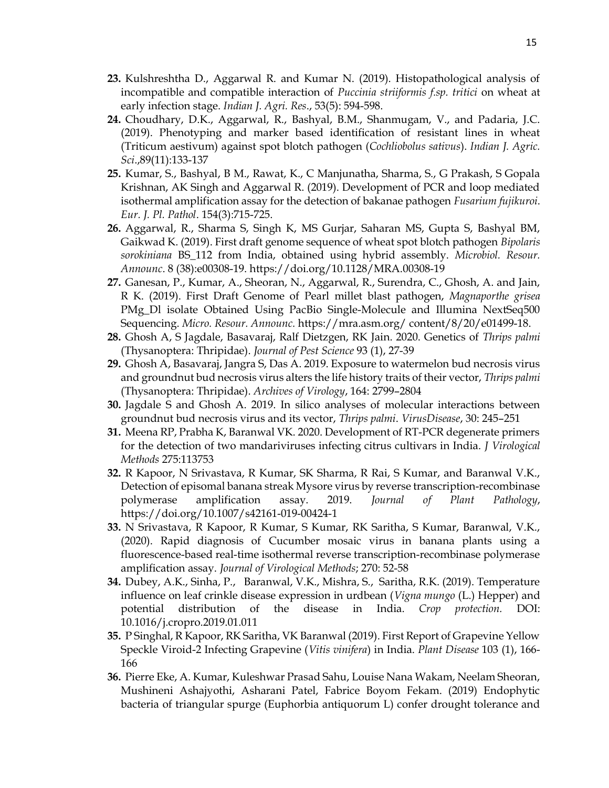- 23. Kulshreshtha D., Aggarwal R. and Kumar N. (2019). Histopathological analysis of incompatible and compatible interaction of Puccinia striiformis f.sp. tritici on wheat at early infection stage. Indian J. Agri. Res., 53(5): 594-598.
- 24. Choudhary, D.K., Aggarwal, R., Bashyal, B.M., Shanmugam, V., and Padaria, J.C. (2019). Phenotyping and marker based identification of resistant lines in wheat (Triticum aestivum) against spot blotch pathogen (Cochliobolus sativus). Indian J. Agric. Sci.,89(11):133-137
- 25. Kumar, S., Bashyal, B M., Rawat, K., C Manjunatha, Sharma, S., G Prakash, S Gopala Krishnan, AK Singh and Aggarwal R. (2019). Development of PCR and loop mediated isothermal amplification assay for the detection of bakanae pathogen Fusarium fujikuroi. Eur. J. Pl. Pathol. 154(3):715-725.
- 26. Aggarwal, R., Sharma S, Singh K, MS Gurjar, Saharan MS, Gupta S, Bashyal BM, Gaikwad K. (2019). First draft genome sequence of wheat spot blotch pathogen Bipolaris sorokiniana BS\_112 from India, obtained using hybrid assembly. Microbiol. Resour. Announc. 8 (38):e00308-19. https://doi.org/10.1128/MRA.00308-19
- 27. Ganesan, P., Kumar, A., Sheoran, N., Aggarwal, R., Surendra, C., Ghosh, A. and Jain, R K. (2019). First Draft Genome of Pearl millet blast pathogen, Magnaporthe grisea PMg\_Dl isolate Obtained Using PacBio Single-Molecule and Illumina NextSeq500 Sequencing. Micro. Resour. Announc. https://mra.asm.org/ content/8/20/e01499-18.
- 28. Ghosh A, S Jagdale, Basavaraj, Ralf Dietzgen, RK Jain. 2020. Genetics of Thrips palmi (Thysanoptera: Thripidae). Journal of Pest Science 93 (1), 27-39
- 29. Ghosh A, Basavaraj, Jangra S, Das A. 2019. Exposure to watermelon bud necrosis virus and groundnut bud necrosis virus alters the life history traits of their vector, Thrips palmi (Thysanoptera: Thripidae). Archives of Virology, 164: 2799–2804
- 30. Jagdale S and Ghosh A. 2019. In silico analyses of molecular interactions between groundnut bud necrosis virus and its vector, Thrips palmi. VirusDisease, 30: 245–251
- 31. Meena RP, Prabha K, Baranwal VK. 2020. Development of RT-PCR degenerate primers for the detection of two mandariviruses infecting citrus cultivars in India. J Virological Methods 275:113753
- 32. R Kapoor, N Srivastava, R Kumar, SK Sharma, R Rai, S Kumar, and Baranwal V.K., Detection of episomal banana streak Mysore virus by reverse transcription-recombinase polymerase amplification assay. 2019. Journal of Plant Pathology, https://doi.org/10.1007/s42161-019-00424-1
- 33. N Srivastava, R Kapoor, R Kumar, S Kumar, RK Saritha, S Kumar, Baranwal, V.K., (2020). Rapid diagnosis of Cucumber mosaic virus in banana plants using a fluorescence-based real-time isothermal reverse transcription-recombinase polymerase amplification assay. Journal of Virological Methods; 270: 52-58
- 34. Dubey, A.K., Sinha, P., Baranwal, V.K., Mishra, S., Saritha, R.K. (2019). Temperature influence on leaf crinkle disease expression in urdbean ( $Vigna mungo$  (L.) Hepper) and potential distribution of the disease in India. Crop protection. DOI: 10.1016/j.cropro.2019.01.011
- 35. P Singhal, R Kapoor, RK Saritha, VK Baranwal (2019). First Report of Grapevine Yellow Speckle Viroid-2 Infecting Grapevine (Vitis vinifera) in India. Plant Disease 103 (1), 166- 166
- 36. Pierre Eke, A. Kumar, Kuleshwar Prasad Sahu, Louise Nana Wakam, Neelam Sheoran, Mushineni Ashajyothi, Asharani Patel, Fabrice Boyom Fekam. (2019) Endophytic bacteria of triangular spurge (Euphorbia antiquorum L) confer drought tolerance and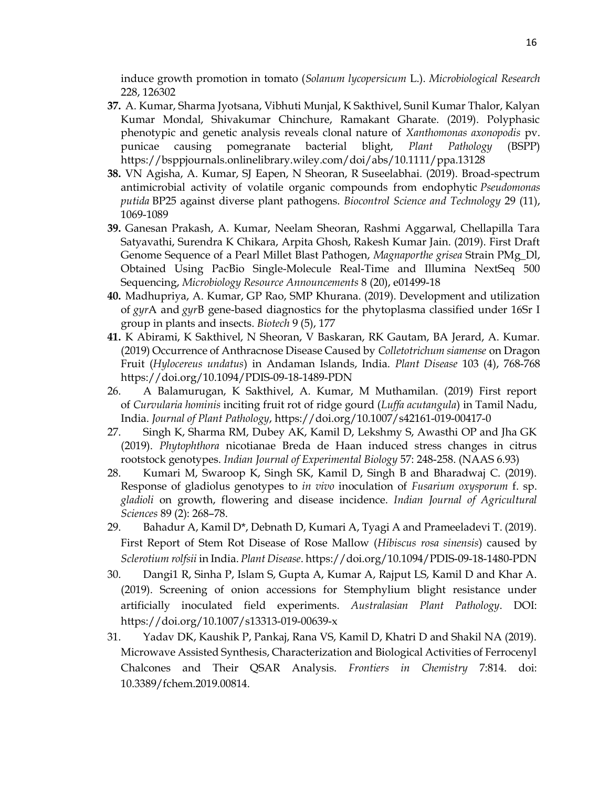induce growth promotion in tomato (Solanum lycopersicum L.). Microbiological Research 228, 126302

- 37. A. Kumar, Sharma Jyotsana, Vibhuti Munjal, K Sakthivel, Sunil Kumar Thalor, Kalyan Kumar Mondal, Shivakumar Chinchure, Ramakant Gharate. (2019). Polyphasic phenotypic and genetic analysis reveals clonal nature of Xanthomonas axonopodis pv. punicae causing pomegranate bacterial blight, Plant Pathology (BSPP) https://bsppjournals.onlinelibrary.wiley.com/doi/abs/10.1111/ppa.13128
- 38. VN Agisha, A. Kumar, SJ Eapen, N Sheoran, R Suseelabhai. (2019). Broad-spectrum antimicrobial activity of volatile organic compounds from endophytic Pseudomonas putida BP25 against diverse plant pathogens. Biocontrol Science and Technology 29 (11), 1069-1089
- 39. Ganesan Prakash, A. Kumar, Neelam Sheoran, Rashmi Aggarwal, Chellapilla Tara Satyavathi, Surendra K Chikara, Arpita Ghosh, Rakesh Kumar Jain. (2019). First Draft Genome Sequence of a Pearl Millet Blast Pathogen, Magnaporthe grisea Strain PMg\_Dl, Obtained Using PacBio Single-Molecule Real-Time and Illumina NextSeq 500 Sequencing, Microbiology Resource Announcements 8 (20), e01499-18
- 40. Madhupriya, A. Kumar, GP Rao, SMP Khurana. (2019). Development and utilization of gyrA and gyrB gene-based diagnostics for the phytoplasma classified under 16Sr I group in plants and insects. Biotech 9 (5), 177
- 41. K Abirami, K Sakthivel, N Sheoran, V Baskaran, RK Gautam, BA Jerard, A. Kumar. (2019) Occurrence of Anthracnose Disease Caused by Colletotrichum siamense on Dragon Fruit (Hylocereus undatus) in Andaman Islands, India. Plant Disease 103 (4), 768-768 https://doi.org/10.1094/PDIS-09-18-1489-PDN
- 26. A Balamurugan, K Sakthivel, A. Kumar, M Muthamilan. (2019) First report of Curvularia hominis inciting fruit rot of ridge gourd (Luffa acutangula) in Tamil Nadu, India. Journal of Plant Pathology, https://doi.org/10.1007/s42161-019-00417-0
- 27. Singh K, Sharma RM, Dubey AK, Kamil D, Lekshmy S, Awasthi OP and Jha GK (2019). Phytophthora nicotianae Breda de Haan induced stress changes in citrus rootstock genotypes. Indian Journal of Experimental Biology 57: 248-258. (NAAS 6.93)
- 28. Kumari M, Swaroop K, Singh SK, Kamil D, Singh B and Bharadwaj C. (2019). Response of gladiolus genotypes to *in vivo* inoculation of *Fusarium oxysporum* f. sp. gladioli on growth, flowering and disease incidence. Indian Journal of Agricultural Sciences 89 (2): 268–78.
- 29. Bahadur A, Kamil D\*, Debnath D, Kumari A, Tyagi A and Prameeladevi T. (2019). First Report of Stem Rot Disease of Rose Mallow (Hibiscus rosa sinensis) caused by Sclerotium rolfsii in India. Plant Disease. https://doi.org/10.1094/PDIS-09-18-1480-PDN
- 30. Dangi1 R, Sinha P, Islam S, Gupta A, Kumar A, Rajput LS, Kamil D and Khar A. (2019). Screening of onion accessions for Stemphylium blight resistance under artificially inoculated field experiments. Australasian Plant Pathology. DOI: https://doi.org/10.1007/s13313-019-00639-x
- 31. Yadav DK, Kaushik P, Pankaj, Rana VS, Kamil D, Khatri D and Shakil NA (2019). Microwave Assisted Synthesis, Characterization and Biological Activities of Ferrocenyl Chalcones and Their QSAR Analysis. Frontiers in Chemistry 7:814. doi: 10.3389/fchem.2019.00814.